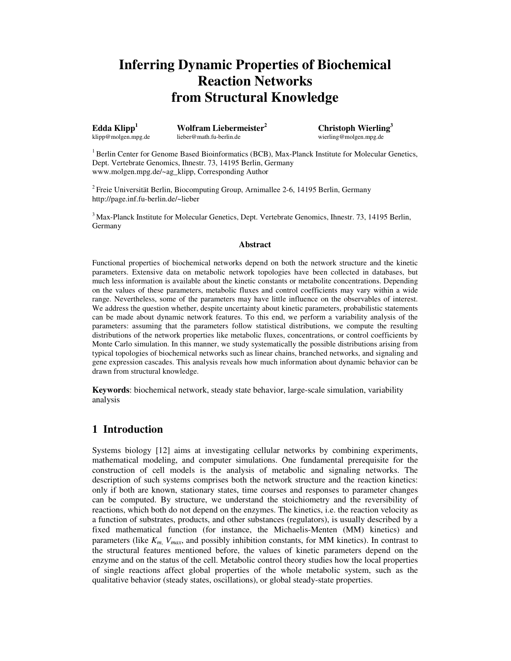# **Inferring Dynamic Properties of Biochemical Reaction Networks from Structural Knowledge**

**Edda Klipp**

**<sup>1</sup> Wolfram Liebermeister**

**<sup>2</sup> Christoph Wierling 3** wierling@molgen.mpg.de

<sup>1</sup> Berlin Center for Genome Based Bioinformatics (BCB), Max-Planck Institute for Molecular Genetics, Dept. Vertebrate Genomics, Ihnestr. 73, 14195 Berlin, Germany www.molgen.mpg.de/~ag\_klipp, Corresponding Author

<sup>2</sup> Freie Universität Berlin, Biocomputing Group, Arnimallee 2-6, 14195 Berlin, Germany http://page.inf.fu-berlin.de/~lieber

<sup>3</sup> Max-Planck Institute for Molecular Genetics, Dept. Vertebrate Genomics, Ihnestr. 73, 14195 Berlin, Germany

### **Abstract**

Functional properties of biochemical networks depend on both the network structure and the kinetic parameters. Extensive data on metabolic network topologies have been collected in databases, but much less information is available about the kinetic constants or metabolite concentrations. Depending on the values of these parameters, metabolic fluxes and control coefficients may vary within a wide range. Nevertheless, some of the parameters may have little influence on the observables of interest. We address the question whether, despite uncertainty about kinetic parameters, probabilistic statements can be made about dynamic network features. To this end, we perform a variability analysis of the parameters: assuming that the parameters follow statistical distributions, we compute the resulting distributions of the network properties like metabolic fluxes, concentrations, or control coefficients by Monte Carlo simulation. In this manner, we study systematically the possible distributions arising from typical topologies of biochemical networks such as linear chains, branched networks, and signaling and gene expression cascades. This analysis reveals how much information about dynamic behavior can be drawn from structural knowledge.

**Keywords**: biochemical network, steady state behavior, large-scale simulation, variability analysis

# **1 Introduction**

Systems biology [12] aims at investigating cellular networks by combining experiments, mathematical modeling, and computer simulations. One fundamental prerequisite for the construction of cell models is the analysis of metabolic and signaling networks. The description of such systems comprises both the network structure and the reaction kinetics: only if both are known, stationary states, time courses and responses to parameter changes can be computed. By structure, we understand the stoichiometry and the reversibility of reactions, which both do not depend on the enzymes. The kinetics, i.e. the reaction velocity as a function of substrates, products, and other substances (regulators), is usually described by a fixed mathematical function (for instance, the Michaelis-Menten (MM) kinetics) and parameters (like *Km*, *Vmax*, and possibly inhibition constants, for MM kinetics). In contrast to the structural features mentioned before, the values of kinetic parameters depend on the enzyme and on the status of the cell. Metabolic control theory studies how the local properties of single reactions affect global properties of the whole metabolic system, such as the qualitative behavior (steady states, oscillations), or global steady-state properties.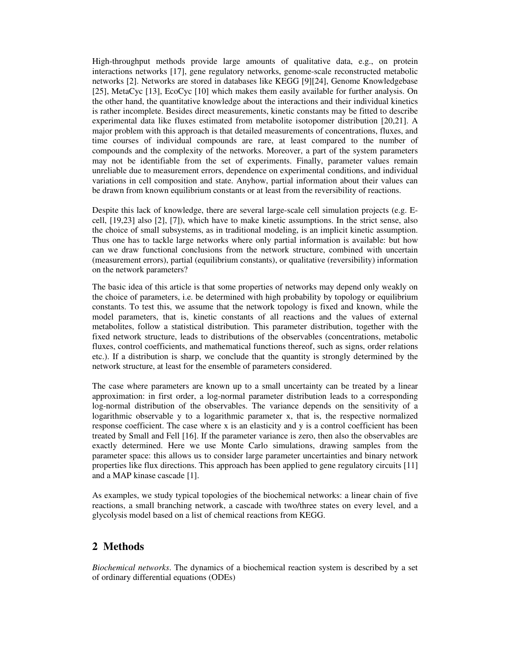High-throughput methods provide large amounts of qualitative data, e.g., on protein interactions networks [17], gene regulatory networks, genome-scale reconstructed metabolic networks [2]. Networks are stored in databases like KEGG [9][24], Genome Knowledgebase [25], MetaCyc [13], EcoCyc [10] which makes them easily available for further analysis. On the other hand, the quantitative knowledge about the interactions and their individual kinetics is rather incomplete. Besides direct measurements, kinetic constants may be fitted to describe experimental data like fluxes estimated from metabolite isotopomer distribution [20,21]. A major problem with this approach is that detailed measurements of concentrations, fluxes, and time courses of individual compounds are rare, at least compared to the number of compounds and the complexity of the networks. Moreover, a part of the system parameters may not be identifiable from the set of experiments. Finally, parameter values remain unreliable due to measurement errors, dependence on experimental conditions, and individual variations in cell composition and state. Anyhow, partial information about their values can be drawn from known equilibrium constants or at least from the reversibility of reactions.

Despite this lack of knowledge, there are several large-scale cell simulation projects (e.g. Ecell, [19,23] also [2], [7]), which have to make kinetic assumptions. In the strict sense, also the choice of small subsystems, as in traditional modeling, is an implicit kinetic assumption. Thus one has to tackle large networks where only partial information is available: but how can we draw functional conclusions from the network structure, combined with uncertain (measurement errors), partial (equilibrium constants), or qualitative (reversibility) information on the network parameters?

The basic idea of this article is that some properties of networks may depend only weakly on the choice of parameters, i.e. be determined with high probability by topology or equilibrium constants. To test this, we assume that the network topology is fixed and known, while the model parameters, that is, kinetic constants of all reactions and the values of external metabolites, follow a statistical distribution. This parameter distribution, together with the fixed network structure, leads to distributions of the observables (concentrations, metabolic fluxes, control coefficients, and mathematical functions thereof, such as signs, order relations etc.). If a distribution is sharp, we conclude that the quantity is strongly determined by the network structure, at least for the ensemble of parameters considered.

The case where parameters are known up to a small uncertainty can be treated by a linear approximation: in first order, a log-normal parameter distribution leads to a corresponding log-normal distribution of the observables. The variance depends on the sensitivity of a logarithmic observable y to a logarithmic parameter x, that is, the respective normalized response coefficient. The case where x is an elasticity and y is a control coefficient has been treated by Small and Fell [16]. If the parameter variance is zero, then also the observables are exactly determined. Here we use Monte Carlo simulations, drawing samples from the parameter space: this allows us to consider large parameter uncertainties and binary network properties like flux directions. This approach has been applied to gene regulatory circuits [11] and a MAP kinase cascade [1].

As examples, we study typical topologies of the biochemical networks: a linear chain of five reactions, a small branching network, a cascade with two/three states on every level, and a glycolysis model based on a list of chemical reactions from KEGG.

# **2 Methods**

*Biochemical networks*. The dynamics of a biochemical reaction system is described by a set of ordinary differential equations (ODEs)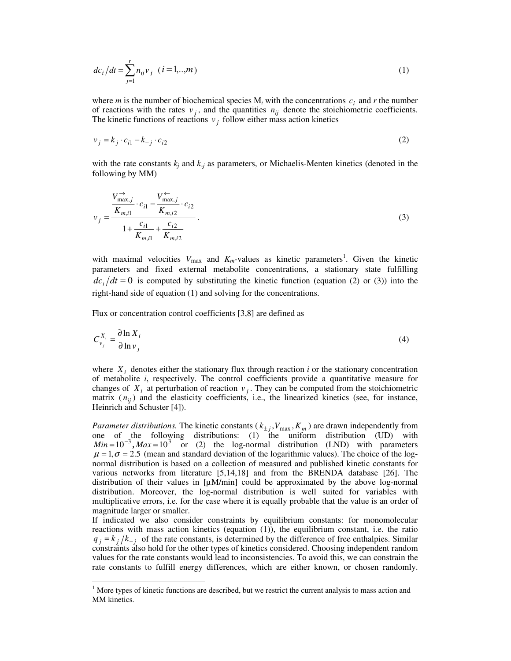$$
dc_i/dt = \sum_{j=1}^{r} n_{ij}v_j \quad (i = 1, ..., m)
$$
 (1)

where *m* is the number of biochemical species  $M_i$  with the concentrations  $c_i$  and *r* the number of reactions with the rates  $v_j$ , and the quantities  $n_{ij}$  denote the stoichiometric coefficients. The kinetic functions of reactions  $v_j$  follow either mass action kinetics

$$
v_j = k_j \cdot c_{i1} - k_{-j} \cdot c_{i2} \tag{2}
$$

with the rate constants *k<sup>j</sup>* and *k-j* as parameters, or Michaelis-Menten kinetics (denoted in the following by MM)

$$
v_j = \frac{V_{\text{max},j}^{\rightarrow} \cdot c_{i1} - V_{\text{max},j}^{\leftarrow}}{K_{m,i1} \cdot C_{i2}} \cdot c_{i2}
$$
  
1 +  $\frac{c_{i1}}{K_{m,i1}} + \frac{c_{i2}}{K_{m,i2}}$  (3)

with maximal velocities  $V_{\text{max}}$  and  $K_m$ -values as kinetic parameters<sup>1</sup>. Given the kinetic parameters and fixed external metabolite concentrations, a stationary state fulfilling  $\frac{dc}{dt} = 0$  is computed by substituting the kinetic function (equation (2) or (3)) into the right-hand side of equation (1) and solving for the concentrations.

Flux or concentration control coefficients [3,8] are defined as

$$
C_{\nu_j}^{X_i} = \frac{\partial \ln X_i}{\partial \ln \nu_j} \tag{4}
$$

where  $X_i$  denotes either the stationary flux through reaction  $i$  or the stationary concentration of metabolite *i*, respectively. The control coefficients provide a quantitative measure for changes of  $X_i$  at perturbation of reaction  $v_j$ . They can be computed from the stoichiometric matrix  $(n_{ij})$  and the elasticity coefficients, i.e., the linearized kinetics (see, for instance, Heinrich and Schuster [4]).

*Parameter distributions.* The kinetic constants ( $k_{\pm j}$ ,  $V_{\text{max}}$ ,  $K_m$ ) are drawn independently from one of the following distributions: (1) the uniform distribution (UD) with  $Min = 10^{-3}$ ,  $Max = 10^{3}$  or (2) the log-normal distribution (LND) with parameters  $\mu = 1, \sigma = 2.5$  (mean and standard deviation of the logarithmic values). The choice of the lognormal distribution is based on a collection of measured and published kinetic constants for various networks from literature [5,14,18] and from the BRENDA database [26]. The distribution of their values in  $[\mu M/min]$  could be approximated by the above log-normal distribution. Moreover, the log-normal distribution is well suited for variables with multiplicative errors, i.e. for the case where it is equally probable that the value is an order of magnitude larger or smaller.

If indicated we also consider constraints by equilibrium constants: for monomolecular reactions with mass action kinetics (equation (1)), the equilibrium constant, i.e. the ratio  $q_j = k_j / k_{-j}$  of the rate constants, is determined by the difference of free enthalpies. Similar constraints also hold for the other types of kinetics considered. Choosing independent random values for the rate constants would lead to inconsistencies. To avoid this, we can constrain the rate constants to fulfill energy differences, which are either known, or chosen randomly.

 $<sup>1</sup>$  More types of kinetic functions are described, but we restrict the current analysis to mass action and</sup> MM kinetics.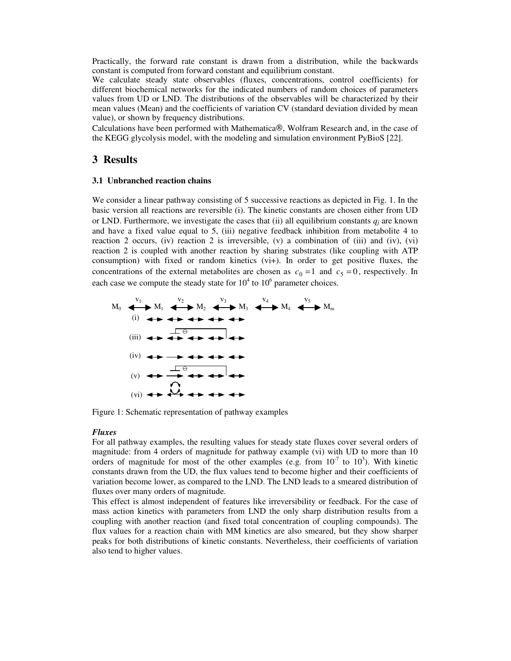Practically, the forward rate constant is drawn from a distribution, while the backwards constant is computed from forward constant and equilibrium constant.

We calculate steady state observables (fluxes, concentrations, control coefficients) for different biochemical networks for the indicated numbers of random choices of parameters values from UD or LND. The distributions of the observables will be characterized by their mean values (Mean) and the coefficients of variation CV (standard deviation divided by mean value), or shown by frequency distributions.

Calculations have been performed with Mathematica®, Wolfram Research and, in the case of the KEGG glycolysis model, with the modeling and simulation environment PyBioS [22].

# **3 Results**

#### **3.1 Unbranched reaction chains**

We consider a linear pathway consisting of 5 successive reactions as depicted in Fig. 1. In the basic version all reactions are reversible (i). The kinetic constants are chosen either from UD or LND. Furthermore, we investigate the cases that (ii) all equilibrium constants  $q_i$  are known and have a fixed value equal to 5, (iii) negative feedback inhibition from metabolite 4 to reaction 2 occurs, (iv) reaction 2 is irreversible, (v) a combination of (iii) and (iv), (vi) reaction 2 is coupled with another reaction by sharing substrates (like coupling with ATP consumption) with fixed or random kinetics (vi+). In order to get positive fluxes, the concentrations of the external metabolites are chosen as  $c_0 = 1$  and  $c_5 = 0$ , respectively. In each case we compute the steady state for  $10^4$  to  $10^6$  parameter choices.



Figure 1: Schematic representation of pathway examples

## *Fluxes*

For all pathway examples, the resulting values for steady state fluxes cover several orders of magnitude: from 4 orders of magnitude for pathway example (vi) with UD to more than 10 orders of magnitude for most of the other examples (e.g. from  $10^{-7}$  to  $10^{3}$ ). With kinetic constants drawn from the UD, the flux values tend to become higher and their coefficients of variation become lower, as compared to the LND. The LND leads to a smeared distribution of fluxes over many orders of magnitude.

This effect is almost independent of features like irreversibility or feedback. For the case of mass action kinetics with parameters from LND the only sharp distribution results from a coupling with another reaction (and fixed total concentration of coupling compounds). The flux values for a reaction chain with MM kinetics are also smeared, but they show sharper peaks for both distributions of kinetic constants. Nevertheless, their coefficients of variation also tend to higher values.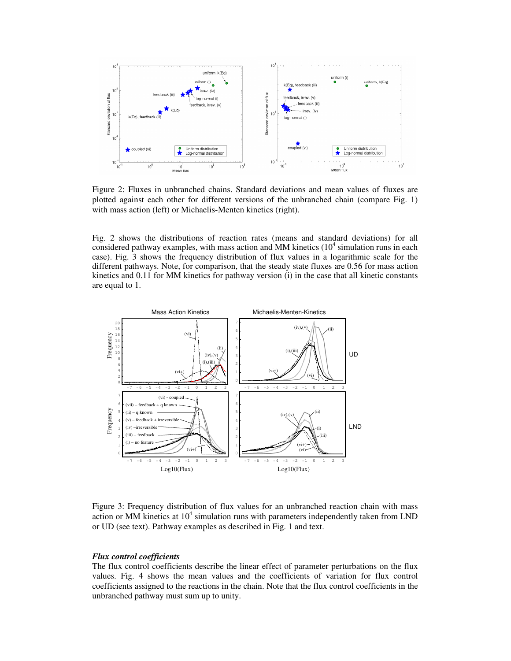

Figure 2: Fluxes in unbranched chains. Standard deviations and mean values of fluxes are plotted against each other for different versions of the unbranched chain (compare Fig. 1) with mass action (left) or Michaelis-Menten kinetics (right).

Fig. 2 shows the distributions of reaction rates (means and standard deviations) for all considered pathway examples, with mass action and MM kinetics (10<sup>4</sup> simulation runs in each case). Fig. 3 shows the frequency distribution of flux values in a logarithmic scale for the different pathways. Note, for comparison, that the steady state fluxes are 0.56 for mass action kinetics and 0.11 for MM kinetics for pathway version (i) in the case that all kinetic constants are equal to 1.



Figure 3: Frequency distribution of flux values for an unbranched reaction chain with mass action or MM kinetics at  $10<sup>4</sup>$  simulation runs with parameters independently taken from LND or UD (see text). Pathway examples as described in Fig. 1 and text.

## *Flux control coefficients*

The flux control coefficients describe the linear effect of parameter perturbations on the flux values. Fig. 4 shows the mean values and the coefficients of variation for flux control coefficients assigned to the reactions in the chain. Note that the flux control coefficients in the unbranched pathway must sum up to unity.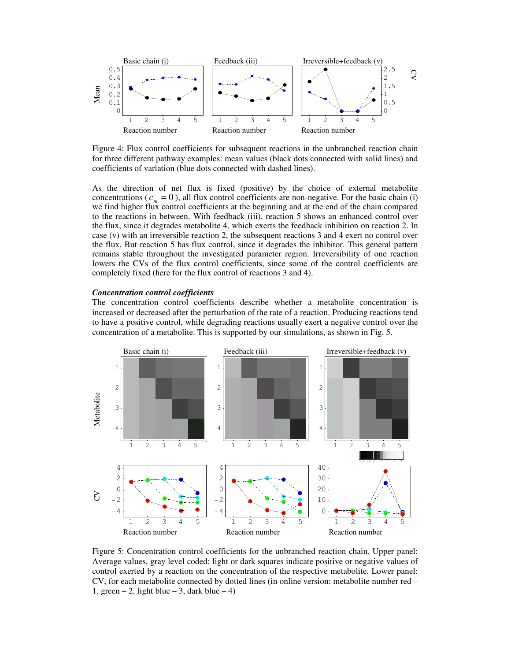

Figure 4: Flux control coefficients for subsequent reactions in the unbranched reaction chain for three different pathway examples: mean values (black dots connected with solid lines) and coefficients of variation (blue dots connected with dashed lines).

As the direction of net flux is fixed (positive) by the choice of external metabolite concentrations ( $c_m = 0$ ), all flux control coefficients are non-negative. For the basic chain (i) we find higher flux control coefficients at the beginning and at the end of the chain compared to the reactions in between. With feedback (iii), reaction 5 shows an enhanced control over the flux, since it degrades metabolite 4, which exerts the feedback inhibition on reaction 2. In case (v) with an irreversible reaction 2, the subsequent reactions 3 and 4 exert no control over the flux. But reaction 5 has flux control, since it degrades the inhibitor. This general pattern remains stable throughout the investigated parameter region. Irreversibility of one reaction lowers the CVs of the flux control coefficients, since some of the control coefficients are completely fixed (here for the flux control of reactions 3 and 4).

#### *Concentration control coefficients*

The concentration control coefficients describe whether a metabolite concentration is increased or decreased after the perturbation of the rate of a reaction. Producing reactions tend to have a positive control, while degrading reactions usually exert a negative control over the concentration of a metabolite. This is supported by our simulations, as shown in Fig. 5.



Figure 5: Concentration control coefficients for the unbranched reaction chain. Upper panel: Average values, gray level coded: light or dark squares indicate positive or negative values of control exerted by a reaction on the concentration of the respective metabolite. Lower panel: CV, for each metabolite connected by dotted lines (in online version: metabolite number red – 1, green  $-2$ , light blue  $-3$ , dark blue  $-4$ )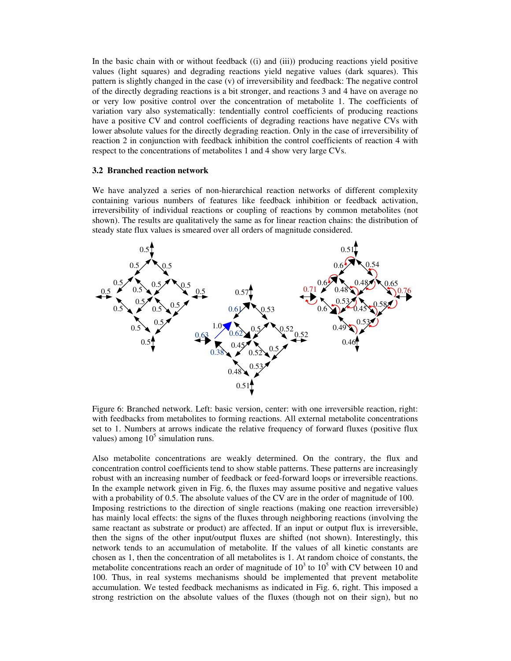In the basic chain with or without feedback ((i) and (iii)) producing reactions yield positive values (light squares) and degrading reactions yield negative values (dark squares). This pattern is slightly changed in the case (v) of irreversibility and feedback: The negative control of the directly degrading reactions is a bit stronger, and reactions 3 and 4 have on average no or very low positive control over the concentration of metabolite 1. The coefficients of variation vary also systematically: tendentially control coefficients of producing reactions have a positive CV and control coefficients of degrading reactions have negative CVs with lower absolute values for the directly degrading reaction. Only in the case of irreversibility of reaction 2 in conjunction with feedback inhibition the control coefficients of reaction 4 with respect to the concentrations of metabolites 1 and 4 show very large CVs.

## **3.2 Branched reaction network**

We have analyzed a series of non-hierarchical reaction networks of different complexity containing various numbers of features like feedback inhibition or feedback activation, irreversibility of individual reactions or coupling of reactions by common metabolites (not shown). The results are qualitatively the same as for linear reaction chains: the distribution of steady state flux values is smeared over all orders of magnitude considered.



Figure 6: Branched network. Left: basic version, center: with one irreversible reaction, right: with feedbacks from metabolites to forming reactions. All external metabolite concentrations set to 1. Numbers at arrows indicate the relative frequency of forward fluxes (positive flux values) among  $10<sup>5</sup>$  simulation runs.

Also metabolite concentrations are weakly determined. On the contrary, the flux and concentration control coefficients tend to show stable patterns. These patterns are increasingly robust with an increasing number of feedback or feed-forward loops or irreversible reactions. In the example network given in Fig. 6, the fluxes may assume positive and negative values with a probability of 0.5. The absolute values of the CV are in the order of magnitude of 100. Imposing restrictions to the direction of single reactions (making one reaction irreversible) has mainly local effects: the signs of the fluxes through neighboring reactions (involving the same reactant as substrate or product) are affected. If an input or output flux is irreversible, then the signs of the other input/output fluxes are shifted (not shown). Interestingly, this network tends to an accumulation of metabolite. If the values of all kinetic constants are chosen as 1, then the concentration of all metabolites is 1. At random choice of constants, the metabolite concentrations reach an order of magnitude of  $10<sup>3</sup>$  to  $10<sup>5</sup>$  with CV between 10 and 100. Thus, in real systems mechanisms should be implemented that prevent metabolite accumulation. We tested feedback mechanisms as indicated in Fig. 6, right. This imposed a strong restriction on the absolute values of the fluxes (though not on their sign), but no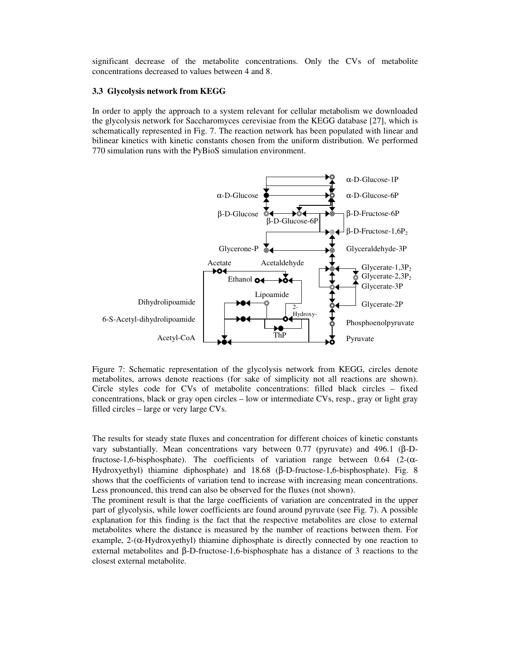significant decrease of the metabolite concentrations. Only the CVs of metabolite concentrations decreased to values between 4 and 8.

## **3.3 Glycolysis network from KEGG**

In order to apply the approach to a system relevant for cellular metabolism we downloaded the glycolysis network for Saccharomyces cerevisiae from the KEGG database [27], which is schematically represented in Fig. 7. The reaction network has been populated with linear and bilinear kinetics with kinetic constants chosen from the uniform distribution. We performed 770 simulation runs with the PyBioS simulation environment.



Figure 7: Schematic representation of the glycolysis network from KEGG, circles denote metabolites, arrows denote reactions (for sake of simplicity not all reactions are shown). Circle styles code for CVs of metabolite concentrations: filled black circles – fixed concentrations, black or gray open circles – low or intermediate CVs, resp., gray or light gray filled circles – large or very large CVs.

The results for steady state fluxes and concentration for different choices of kinetic constants vary substantially. Mean concentrations vary between 0.77 (pyruvate) and 496.1 (β-Dfructose-1,6-bisphosphate). The coefficients of variation range between 0.64 (2- $(\alpha$ -Hydroxyethyl) thiamine diphosphate) and 18.68 (β-D-fructose-1,6-bisphosphate). Fig. 8 shows that the coefficients of variation tend to increase with increasing mean concentrations. Less pronounced, this trend can also be observed for the fluxes (not shown).

The prominent result is that the large coefficients of variation are concentrated in the upper part of glycolysis, while lower coefficients are found around pyruvate (see Fig. 7). A possible explanation for this finding is the fact that the respective metabolites are close to external metabolites where the distance is measured by the number of reactions between them. For example,  $2-(\alpha-Hydroxyethyl)$  thiamine diphosphate is directly connected by one reaction to external metabolites and β-D-fructose-1,6-bisphosphate has a distance of 3 reactions to the closest external metabolite.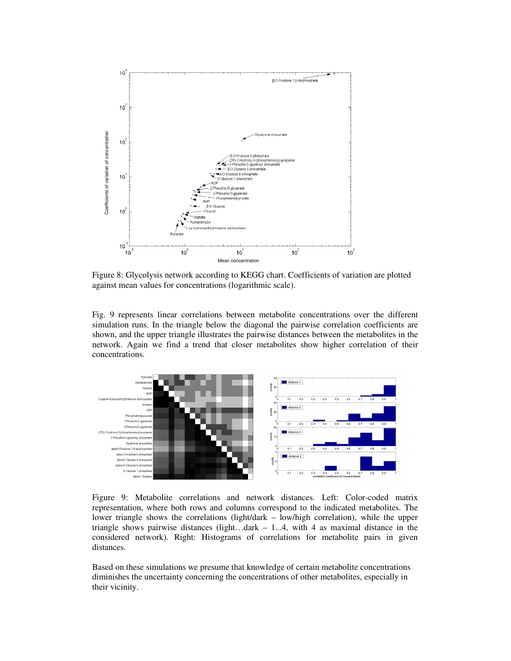

Figure 8: Glycolysis network according to KEGG chart. Coefficients of variation are plotted against mean values for concentrations (logarithmic scale).

Fig. 9 represents linear correlations between metabolite concentrations over the different simulation runs. In the triangle below the diagonal the pairwise correlation coefficients are shown, and the upper triangle illustrates the pairwise distances between the metabolites in the network. Again we find a trend that closer metabolites show higher correlation of their concentrations.



Figure 9: Metabolite correlations and network distances. Left: Color-coded matrix representation, where both rows and columns correspond to the indicated metabolites. The lower triangle shows the correlations (light/dark – low/high correlation), while the upper triangle shows pairwise distances (light...dark  $-1...4$ , with 4 as maximal distance in the considered network). Right: Histograms of correlations for metabolite pairs in given distances.

Based on these simulations we presume that knowledge of certain metabolite concentrations diminishes the uncertainty concerning the concentrations of other metabolites, especially in their vicinity.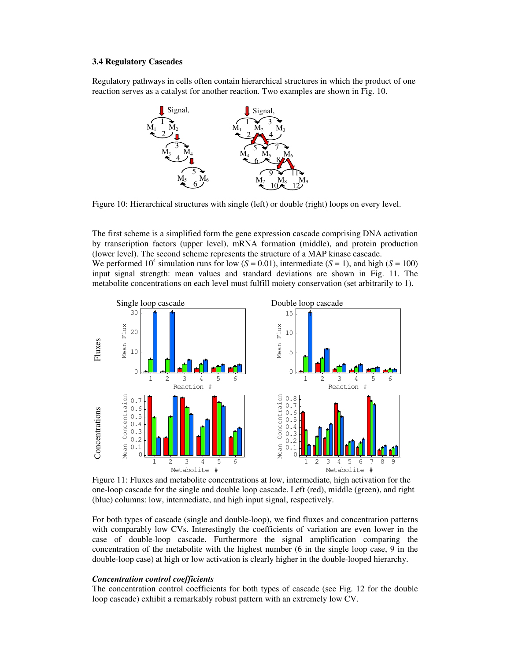#### **3.4 Regulatory Cascades**

Regulatory pathways in cells often contain hierarchical structures in which the product of one reaction serves as a catalyst for another reaction. Two examples are shown in Fig. 10.



Figure 10: Hierarchical structures with single (left) or double (right) loops on every level.

The first scheme is a simplified form the gene expression cascade comprising DNA activation by transcription factors (upper level), mRNA formation (middle), and protein production (lower level). The second scheme represents the structure of a MAP kinase cascade. We performed 10<sup>4</sup> simulation runs for low ( $S = 0.01$ ), intermediate ( $S = 1$ ), and high ( $S = 100$ ) input signal strength: mean values and standard deviations are shown in Fig. 11. The metabolite concentrations on each level must fulfill moiety conservation (set arbitrarily to 1).



Figure 11: Fluxes and metabolite concentrations at low, intermediate, high activation for the one-loop cascade for the single and double loop cascade. Left (red), middle (green), and right (blue) columns: low, intermediate, and high input signal, respectively.

For both types of cascade (single and double-loop), we find fluxes and concentration patterns with comparably low CVs. Interestingly the coefficients of variation are even lower in the case of double-loop cascade. Furthermore the signal amplification comparing the concentration of the metabolite with the highest number (6 in the single loop case, 9 in the double-loop case) at high or low activation is clearly higher in the double-looped hierarchy.

#### *Concentration control coefficients*

The concentration control coefficients for both types of cascade (see Fig. 12 for the double loop cascade) exhibit a remarkably robust pattern with an extremely low CV.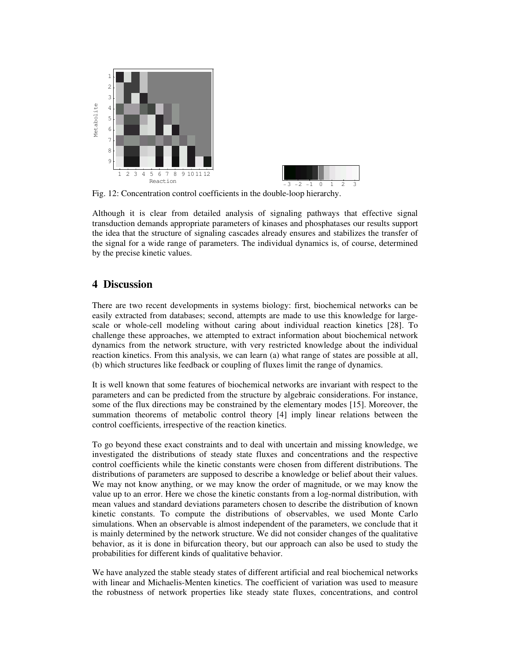

Fig. 12: Concentration control coefficients in the double-loop hierarchy.

Although it is clear from detailed analysis of signaling pathways that effective signal transduction demands appropriate parameters of kinases and phosphatases our results support the idea that the structure of signaling cascades already ensures and stabilizes the transfer of the signal for a wide range of parameters. The individual dynamics is, of course, determined by the precise kinetic values.

# **4 Discussion**

There are two recent developments in systems biology: first, biochemical networks can be easily extracted from databases; second, attempts are made to use this knowledge for largescale or whole-cell modeling without caring about individual reaction kinetics [28]. To challenge these approaches, we attempted to extract information about biochemical network dynamics from the network structure, with very restricted knowledge about the individual reaction kinetics. From this analysis, we can learn (a) what range of states are possible at all, (b) which structures like feedback or coupling of fluxes limit the range of dynamics.

It is well known that some features of biochemical networks are invariant with respect to the parameters and can be predicted from the structure by algebraic considerations. For instance, some of the flux directions may be constrained by the elementary modes [15]. Moreover, the summation theorems of metabolic control theory [4] imply linear relations between the control coefficients, irrespective of the reaction kinetics.

To go beyond these exact constraints and to deal with uncertain and missing knowledge, we investigated the distributions of steady state fluxes and concentrations and the respective control coefficients while the kinetic constants were chosen from different distributions. The distributions of parameters are supposed to describe a knowledge or belief about their values. We may not know anything, or we may know the order of magnitude, or we may know the value up to an error. Here we chose the kinetic constants from a log-normal distribution, with mean values and standard deviations parameters chosen to describe the distribution of known kinetic constants. To compute the distributions of observables, we used Monte Carlo simulations. When an observable is almost independent of the parameters, we conclude that it is mainly determined by the network structure. We did not consider changes of the qualitative behavior, as it is done in bifurcation theory, but our approach can also be used to study the probabilities for different kinds of qualitative behavior.

We have analyzed the stable steady states of different artificial and real biochemical networks with linear and Michaelis-Menten kinetics. The coefficient of variation was used to measure the robustness of network properties like steady state fluxes, concentrations, and control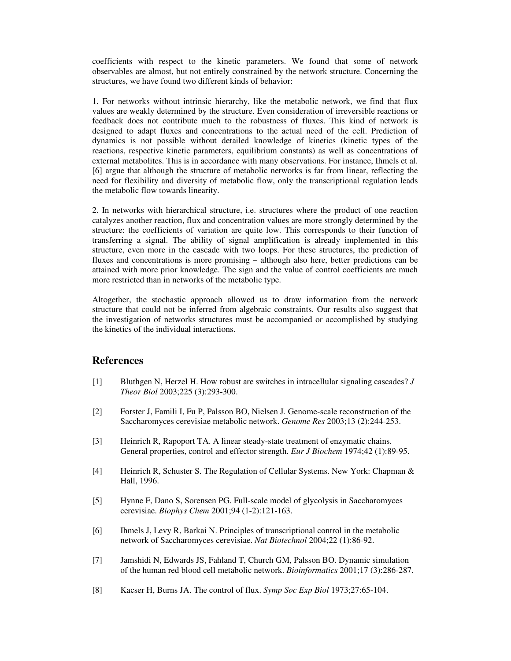coefficients with respect to the kinetic parameters. We found that some of network observables are almost, but not entirely constrained by the network structure. Concerning the structures, we have found two different kinds of behavior:

1. For networks without intrinsic hierarchy, like the metabolic network, we find that flux values are weakly determined by the structure. Even consideration of irreversible reactions or feedback does not contribute much to the robustness of fluxes. This kind of network is designed to adapt fluxes and concentrations to the actual need of the cell. Prediction of dynamics is not possible without detailed knowledge of kinetics (kinetic types of the reactions, respective kinetic parameters, equilibrium constants) as well as concentrations of external metabolites. This is in accordance with many observations. For instance, Ihmels et al. [6] argue that although the structure of metabolic networks is far from linear, reflecting the need for flexibility and diversity of metabolic flow, only the transcriptional regulation leads the metabolic flow towards linearity.

2. In networks with hierarchical structure, i.e. structures where the product of one reaction catalyzes another reaction, flux and concentration values are more strongly determined by the structure: the coefficients of variation are quite low. This corresponds to their function of transferring a signal. The ability of signal amplification is already implemented in this structure, even more in the cascade with two loops. For these structures, the prediction of fluxes and concentrations is more promising – although also here, better predictions can be attained with more prior knowledge. The sign and the value of control coefficients are much more restricted than in networks of the metabolic type.

Altogether, the stochastic approach allowed us to draw information from the network structure that could not be inferred from algebraic constraints. Our results also suggest that the investigation of networks structures must be accompanied or accomplished by studying the kinetics of the individual interactions.

# **References**

- [1] Bluthgen N, Herzel H. How robust are switches in intracellular signaling cascades? *J Theor Biol* 2003;225 (3):293-300.
- [2] Forster J, Famili I, Fu P, Palsson BO, Nielsen J. Genome-scale reconstruction of the Saccharomyces cerevisiae metabolic network. *Genome Res* 2003;13 (2):244-253.
- [3] Heinrich R, Rapoport TA. A linear steady-state treatment of enzymatic chains. General properties, control and effector strength. *Eur J Biochem* 1974;42 (1):89-95.
- [4] Heinrich R, Schuster S. The Regulation of Cellular Systems. New York: Chapman & Hall, 1996.
- [5] Hynne F, Dano S, Sorensen PG. Full-scale model of glycolysis in Saccharomyces cerevisiae. *Biophys Chem* 2001;94 (1-2):121-163.
- [6] Ihmels J, Levy R, Barkai N. Principles of transcriptional control in the metabolic network of Saccharomyces cerevisiae. *Nat Biotechnol* 2004;22 (1):86-92.
- [7] Jamshidi N, Edwards JS, Fahland T, Church GM, Palsson BO. Dynamic simulation of the human red blood cell metabolic network. *Bioinformatics* 2001;17 (3):286-287.
- [8] Kacser H, Burns JA. The control of flux. *Symp Soc Exp Biol* 1973;27:65-104.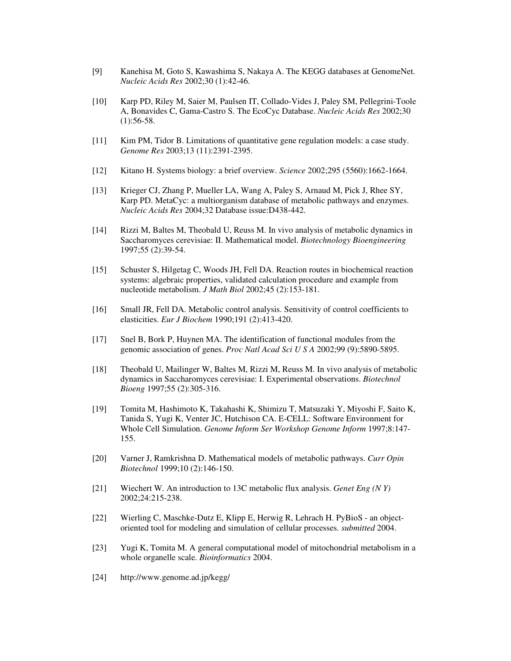- [9] Kanehisa M, Goto S, Kawashima S, Nakaya A. The KEGG databases at GenomeNet. *Nucleic Acids Res* 2002;30 (1):42-46.
- [10] Karp PD, Riley M, Saier M, Paulsen IT, Collado-Vides J, Paley SM, Pellegrini-Toole A, Bonavides C, Gama-Castro S. The EcoCyc Database. *Nucleic Acids Res* 2002;30  $(1):$ 56-58.
- [11] Kim PM, Tidor B. Limitations of quantitative gene regulation models: a case study. *Genome Res* 2003;13 (11):2391-2395.
- [12] Kitano H. Systems biology: a brief overview. *Science* 2002;295 (5560):1662-1664.
- [13] Krieger CJ, Zhang P, Mueller LA, Wang A, Paley S, Arnaud M, Pick J, Rhee SY, Karp PD. MetaCyc: a multiorganism database of metabolic pathways and enzymes. *Nucleic Acids Res* 2004;32 Database issue:D438-442.
- [14] Rizzi M, Baltes M, Theobald U, Reuss M. In vivo analysis of metabolic dynamics in Saccharomyces cerevisiae: II. Mathematical model. *Biotechnology Bioengineering* 1997;55 (2):39-54.
- [15] Schuster S, Hilgetag C, Woods JH, Fell DA. Reaction routes in biochemical reaction systems: algebraic properties, validated calculation procedure and example from nucleotide metabolism. *J Math Biol* 2002;45 (2):153-181.
- [16] Small JR, Fell DA. Metabolic control analysis. Sensitivity of control coefficients to elasticities. *Eur J Biochem* 1990;191 (2):413-420.
- [17] Snel B, Bork P, Huynen MA. The identification of functional modules from the genomic association of genes. *Proc Natl Acad Sci U S A* 2002;99 (9):5890-5895.
- [18] Theobald U, Mailinger W, Baltes M, Rizzi M, Reuss M. In vivo analysis of metabolic dynamics in Saccharomyces cerevisiae: I. Experimental observations. *Biotechnol Bioeng* 1997;55 (2):305-316.
- [19] Tomita M, Hashimoto K, Takahashi K, Shimizu T, Matsuzaki Y, Miyoshi F, Saito K, Tanida S, Yugi K, Venter JC, Hutchison CA. E-CELL: Software Environment for Whole Cell Simulation. *Genome Inform Ser Workshop Genome Inform* 1997;8:147- 155.
- [20] Varner J, Ramkrishna D. Mathematical models of metabolic pathways. *Curr Opin Biotechnol* 1999;10 (2):146-150.
- [21] Wiechert W. An introduction to 13C metabolic flux analysis. *Genet Eng (N Y)* 2002;24:215-238.
- [22] Wierling C, Maschke-Dutz E, Klipp E, Herwig R, Lehrach H. PyBioS an objectoriented tool for modeling and simulation of cellular processes. *submitted* 2004.
- [23] Yugi K, Tomita M. A general computational model of mitochondrial metabolism in a whole organelle scale. *Bioinformatics* 2004.
- [24] http://www.genome.ad.jp/kegg/